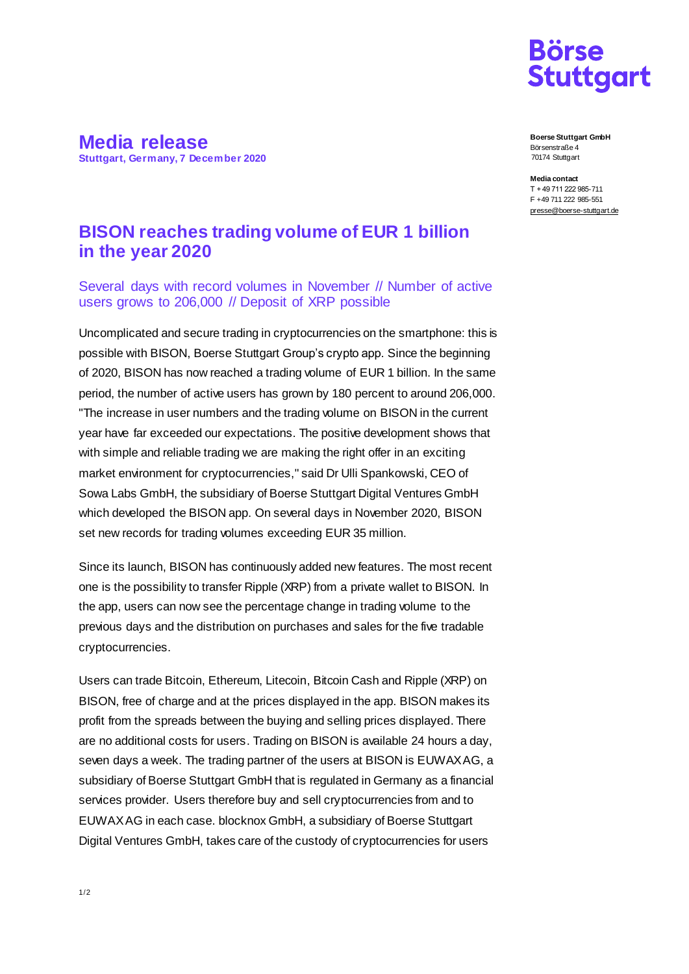

**Media release Stuttgart, Germany, 7 December 2020**

**Boerse Stuttgart GmbH** Börsenstraße 4 70174 Stuttgart

**Media contact** T + 49 711 222 985-711 F +49 711 222 985-551 [presse@boerse-stuttgart.de](mailto:presse@boerse-stuttgart.de)

## **BISON reaches trading volume of EUR 1 billion in the year 2020**

Several days with record volumes in November // Number of active users grows to 206,000 // Deposit of XRP possible

Uncomplicated and secure trading in cryptocurrencies on the smartphone: this is possible with BISON, Boerse Stuttgart Group's crypto app. Since the beginning of 2020, BISON has now reached a trading volume of EUR 1 billion. In the same period, the number of active users has grown by 180 percent to around 206,000. "The increase in user numbers and the trading volume on BISON in the current year have far exceeded our expectations. The positive development shows that with simple and reliable trading we are making the right offer in an exciting market environment for cryptocurrencies," said Dr Ulli Spankowski, CEO of Sowa Labs GmbH, the subsidiary of Boerse Stuttgart Digital Ventures GmbH which developed the BISON app. On several days in November 2020, BISON set new records for trading volumes exceeding EUR 35 million.

Since its launch, BISON has continuously added new features. The most recent one is the possibility to transfer Ripple (XRP) from a private wallet to BISON. In the app, users can now see the percentage change in trading volume to the previous days and the distribution on purchases and sales for the five tradable cryptocurrencies.

Users can trade Bitcoin, Ethereum, Litecoin, Bitcoin Cash and Ripple (XRP) on BISON, free of charge and at the prices displayed in the app. BISON makes its profit from the spreads between the buying and selling prices displayed. There are no additional costs for users. Trading on BISON is available 24 hours a day, seven days a week. The trading partner of the users at BISON is EUWAX AG, a subsidiary of Boerse Stuttgart GmbH that is regulated in Germany as a financial services provider. Users therefore buy and sell cryptocurrencies from and to EUWAX AG in each case. blocknox GmbH, a subsidiary of Boerse Stuttgart Digital Ventures GmbH, takes care of the custody of cryptocurrencies for users